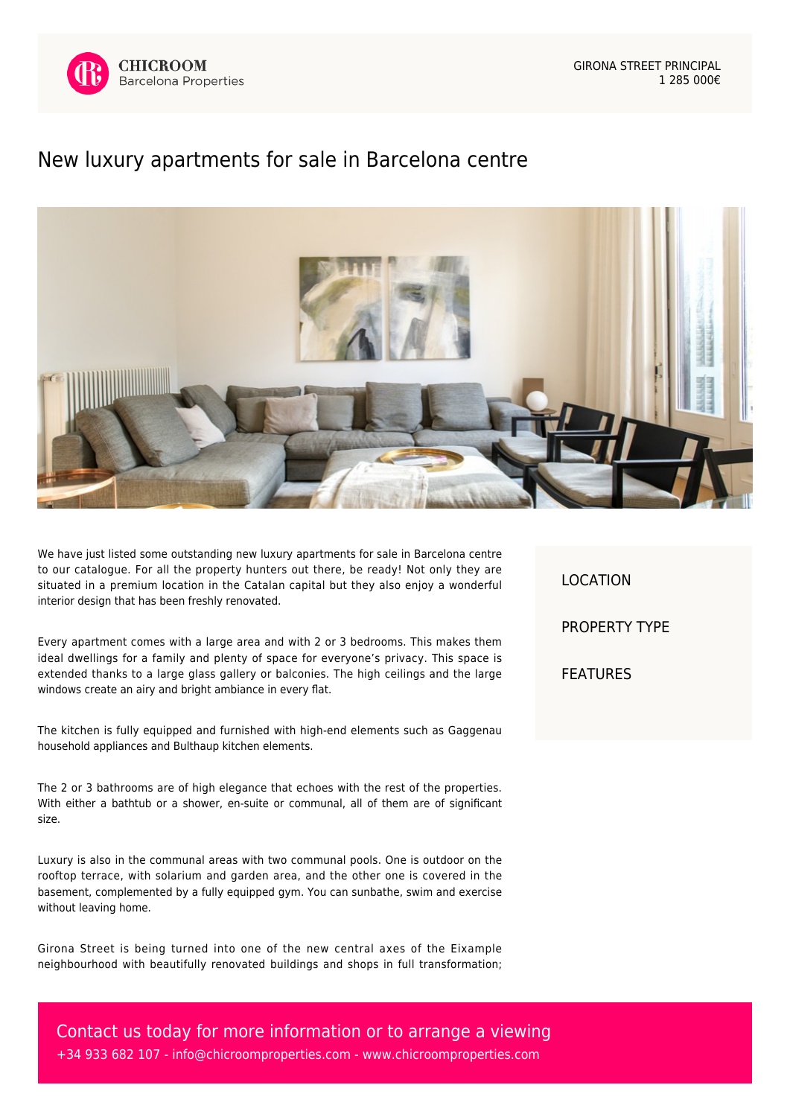

GIRONA STREET PRINCIPAL 1 285 000€

## [New luxury apartments for sale in Barcelona centre](https://www.chicroomproperties.com/en/property/837/new-luxury-apartments-for-sale-in-barcelona-centre/)



We have just listed some outstanding new luxury apartments for sale in Barcelona centre to our catalogue. For all the property hunters out there, be ready! Not only they are situated in a premium location in the Catalan capital but they also enjoy a wonderful interior design that has been freshly renovated.

Every apartment comes with a large area and with 2 or 3 bedrooms. This makes them ideal dwellings for a family and plenty of space for everyone's privacy. This space is extended thanks to a large glass gallery or balconies. The high ceilings and the large windows create an airy and bright ambiance in every flat.

The kitchen is fully equipped and furnished with high-end elements such as Gaggenau household appliances and Bulthaup kitchen elements.

The 2 or 3 bathrooms are of high elegance that echoes with the rest of the properties. With either a bathtub or a shower, en-suite or communal, all of them are of significant size.

Luxury is also in the communal areas with two communal pools. One is outdoor on the rooftop terrace, with solarium and garden area, and the other one is covered in the basement, complemented by a fully equipped gym. You can sunbathe, swim and exercise without leaving home.

Girona Street is being turned into one of the new central axes of the Eixample neighbourhood with beautifully renovated buildings and shops in full transformation; LOCATION PROPERTY TYPE FEATURES

Contact us today for more information or to arrange a viewing +34 933 682 107 - [info@chicroomproperties.com](mailto:info@chicroomproperties.com) - [www.chicroomproperties.com](http://www.chicroomproperties.com)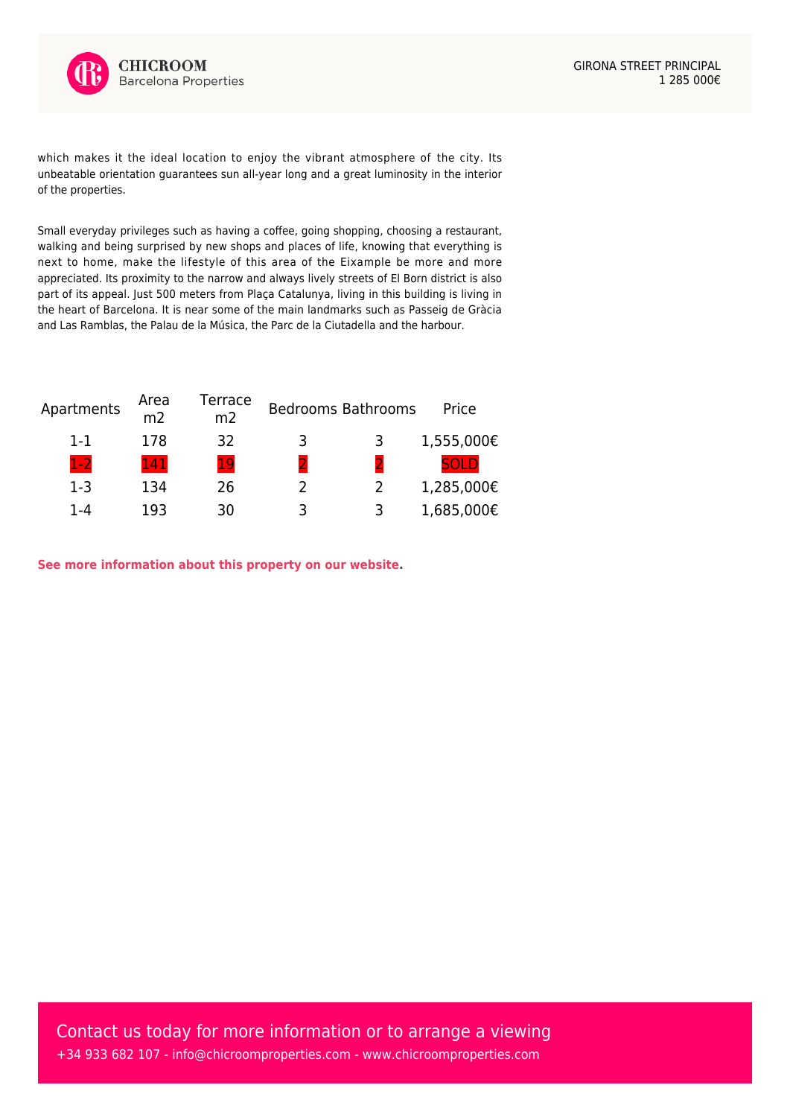

which makes it the ideal location to enjoy the vibrant atmosphere of the city. Its unbeatable orientation guarantees sun all-year long and a great luminosity in the interior of the properties.

Small everyday privileges such as having a coffee, going shopping, choosing a restaurant, walking and being surprised by new shops and places of life, knowing that everything is next to home, make the lifestyle of this area of the Eixample be more and more appreciated. Its proximity to the narrow and always lively streets of El Born district is also part of its appeal. Just 500 meters from Plaça Catalunya, living in this building is living in the heart of Barcelona. It is near some of the main landmarks such as Passeig de Gràcia and Las Ramblas, the Palau de la Música, the Parc de la Ciutadella and the harbour.

| Apartments | Area<br>m <sub>2</sub> | Terrace<br>m <sub>2</sub> |              | <b>Bedrooms Bathrooms</b> | Price       |
|------------|------------------------|---------------------------|--------------|---------------------------|-------------|
| $1 - 1$    | 178                    | 32                        | 3            | 3                         | 1,555,000€  |
| $1-2$      | 141                    | 19                        | $\mathbf{D}$ |                           | <b>50LD</b> |
| $1-3$      | 134                    | 26                        |              |                           | 1,285,000€  |
| 1-4        | 193                    | 30                        | 3            | ว                         | 1,685,000€  |

**[See more information about this property on our website.](https://www.chicroomproperties.com/en/property/837/new-luxury-apartments-for-sale-in-barcelona-centre/)**